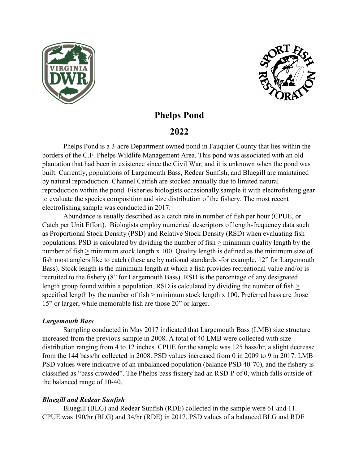



# **Phelps Pond**

# **2022**

Phelps Pond is a 3-acre Department owned pond in Fauquier County that lies within the borders of the C.F. Phelps Wildlife Management Area. This pond was associated with an old plantation that had been in existence since the Civil War, and it is unknown when the pond was built. Currently, populations of Largemouth Bass, Redear Sunfish, and Bluegill are maintained by natural reproduction. Channel Catfish are stocked annually due to limited natural reproduction within the pond. Fisheries biologists occasionally sample it with electrofishing gear to evaluate the species composition and size distribution of the fishery. The most recent electrofishing sample was conducted in 2017.

Abundance is usually described as a catch rate in number of fish per hour (CPUE, or Catch per Unit Effort). Biologists employ numerical descriptors of length-frequency data such as Proportional Stock Density (PSD) and Relative Stock Density (RSD) when evaluating fish populations. PSD is calculated by dividing the number of fish > minimum quality length by the number of fish  $\geq$  minimum stock length x 100. Quality length is defined as the minimum size of fish most anglers like to catch (these are by national standards -for example, 12" for Largemouth Bass). Stock length is the minimum length at which a fish provides recreational value and/or is recruited to the fishery (8" for Largemouth Bass). RSD is the percentage of any designated length group found within a population. RSD is calculated by dividing the number of fish  $>$ specified length by the number of fish > minimum stock length x 100. Preferred bass are those 15" or larger, while memorable fish are those 20" or larger.

### *Largemouth Bass*

Sampling conducted in May 2017 indicated that Largemouth Bass (LMB) size structure increased from the previous sample in 2008. A total of 40 LMB were collected with size distribution ranging from 4 to 12 inches. CPUE for the sample was 125 bass/hr, a slight decrease from the 144 bass/hr collected in 2008. PSD values increased from 0 in 2009 to 9 in 2017. LMB PSD values were indicative of an unbalanced population (balance PSD 40-70), and the fishery is classified as "bass crowded". The Phelps bass fishery had an RSD-P of 0, which falls outside of the balanced range of 10-40.

### *Bluegill and Redear Sunfish*

Bluegill (BLG) and Redear Sunfish (RDE) collected in the sample were 61 and 11. CPUE was 190/hr (BLG) and 34/hr (RDE) in 2017. PSD values of a balanced BLG and RDE